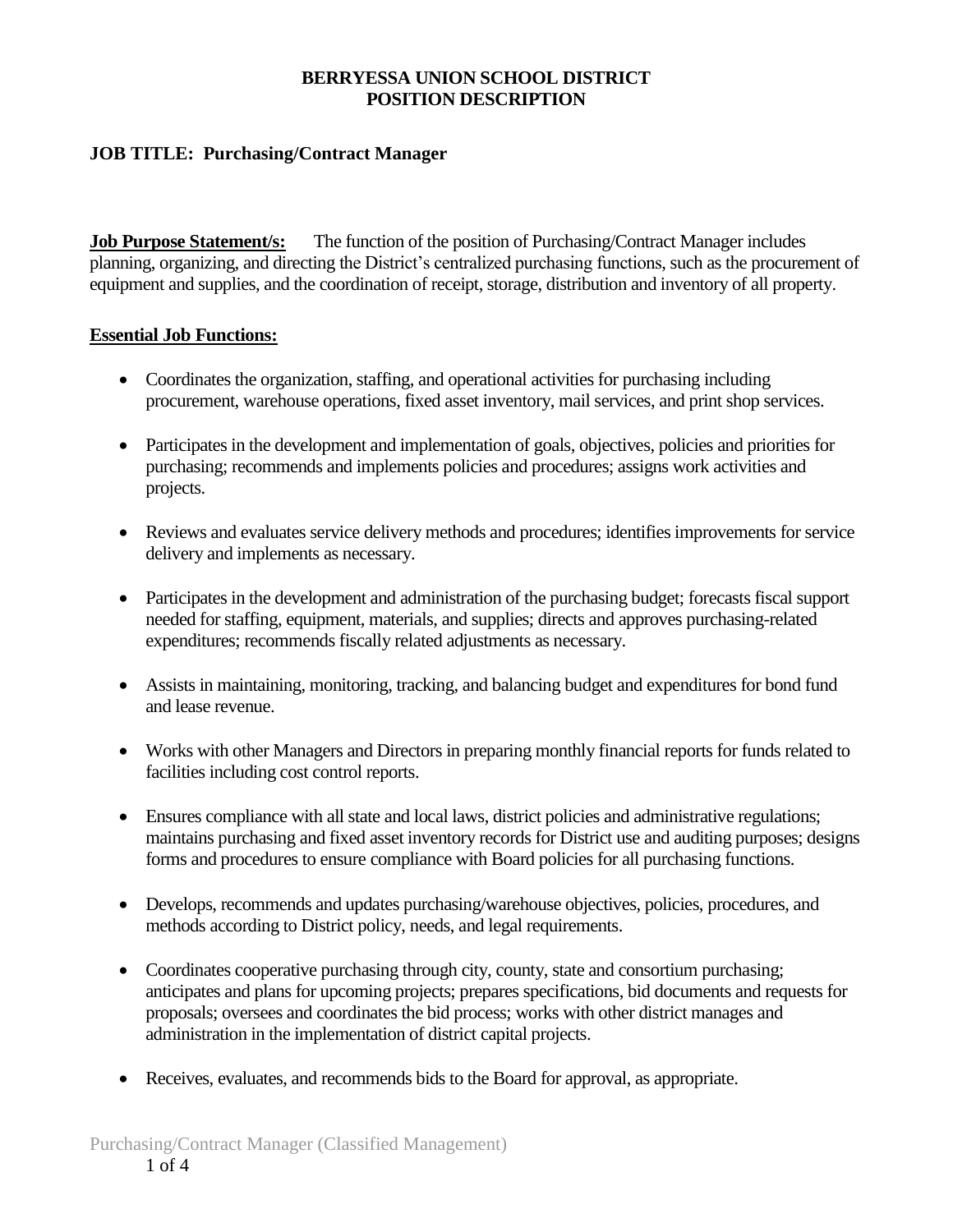# **JOB TITLE: Purchasing/Contract Manager**

**Job Purpose Statement/s:** The function of the position of Purchasing/Contract Manager includes planning, organizing, and directing the District's centralized purchasing functions, such as the procurement of equipment and supplies, and the coordination of receipt, storage, distribution and inventory of all property.

## **Essential Job Functions:**

- Coordinates the organization, staffing, and operational activities for purchasing including procurement, warehouse operations, fixed asset inventory, mail services, and print shop services.
- Participates in the development and implementation of goals, objectives, policies and priorities for purchasing; recommends and implements policies and procedures; assigns work activities and projects.
- Reviews and evaluates service delivery methods and procedures; identifies improvements for service delivery and implements as necessary.
- Participates in the development and administration of the purchasing budget; forecasts fiscal support needed for staffing, equipment, materials, and supplies; directs and approves purchasing-related expenditures; recommends fiscally related adjustments as necessary.
- Assists in maintaining, monitoring, tracking, and balancing budget and expenditures for bond fund and lease revenue.
- Works with other Managers and Directors in preparing monthly financial reports for funds related to facilities including cost control reports.
- Ensures compliance with all state and local laws, district policies and administrative regulations; maintains purchasing and fixed asset inventory records for District use and auditing purposes; designs forms and procedures to ensure compliance with Board policies for all purchasing functions.
- Develops, recommends and updates purchasing/warehouse objectives, policies, procedures, and methods according to District policy, needs, and legal requirements.
- Coordinates cooperative purchasing through city, county, state and consortium purchasing; anticipates and plans for upcoming projects; prepares specifications, bid documents and requests for proposals; oversees and coordinates the bid process; works with other district manages and administration in the implementation of district capital projects.
- Receives, evaluates, and recommends bids to the Board for approval, as appropriate.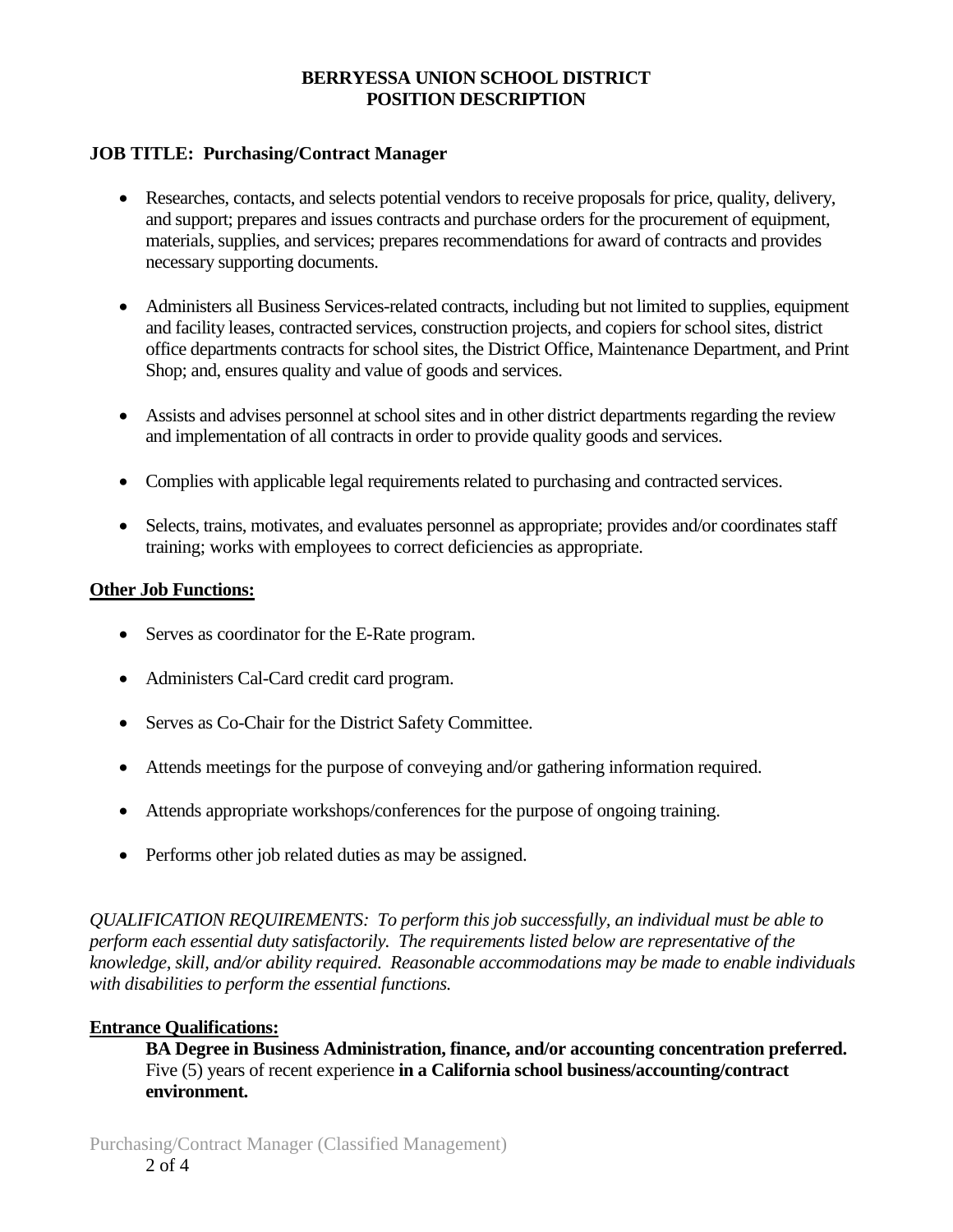# **JOB TITLE: Purchasing/Contract Manager**

- Researches, contacts, and selects potential vendors to receive proposals for price, quality, delivery, and support; prepares and issues contracts and purchase orders for the procurement of equipment, materials, supplies, and services; prepares recommendations for award of contracts and provides necessary supporting documents.
- Administers all Business Services-related contracts, including but not limited to supplies, equipment and facility leases, contracted services, construction projects, and copiers for school sites, district office departments contracts for school sites, the District Office, Maintenance Department, and Print Shop; and, ensures quality and value of goods and services.
- Assists and advises personnel at school sites and in other district departments regarding the review and implementation of all contracts in order to provide quality goods and services.
- Complies with applicable legal requirements related to purchasing and contracted services.
- Selects, trains, motivates, and evaluates personnel as appropriate; provides and/or coordinates staff training; works with employees to correct deficiencies as appropriate.

## **Other Job Functions:**

- Serves as coordinator for the E-Rate program.
- Administers Cal-Card credit card program.
- Serves as Co-Chair for the District Safety Committee.
- Attends meetings for the purpose of conveying and/or gathering information required.
- Attends appropriate workshops/conferences for the purpose of ongoing training.
- Performs other job related duties as may be assigned.

*QUALIFICATION REQUIREMENTS: To perform this job successfully, an individual must be able to perform each essential duty satisfactorily. The requirements listed below are representative of the knowledge, skill, and/or ability required. Reasonable accommodations may be made to enable individuals with disabilities to perform the essential functions.*

## **Entrance Qualifications:**

**BA Degree in Business Administration, finance, and/or accounting concentration preferred.**  Five (5) years of recent experience **in a California school business/accounting/contract environment.**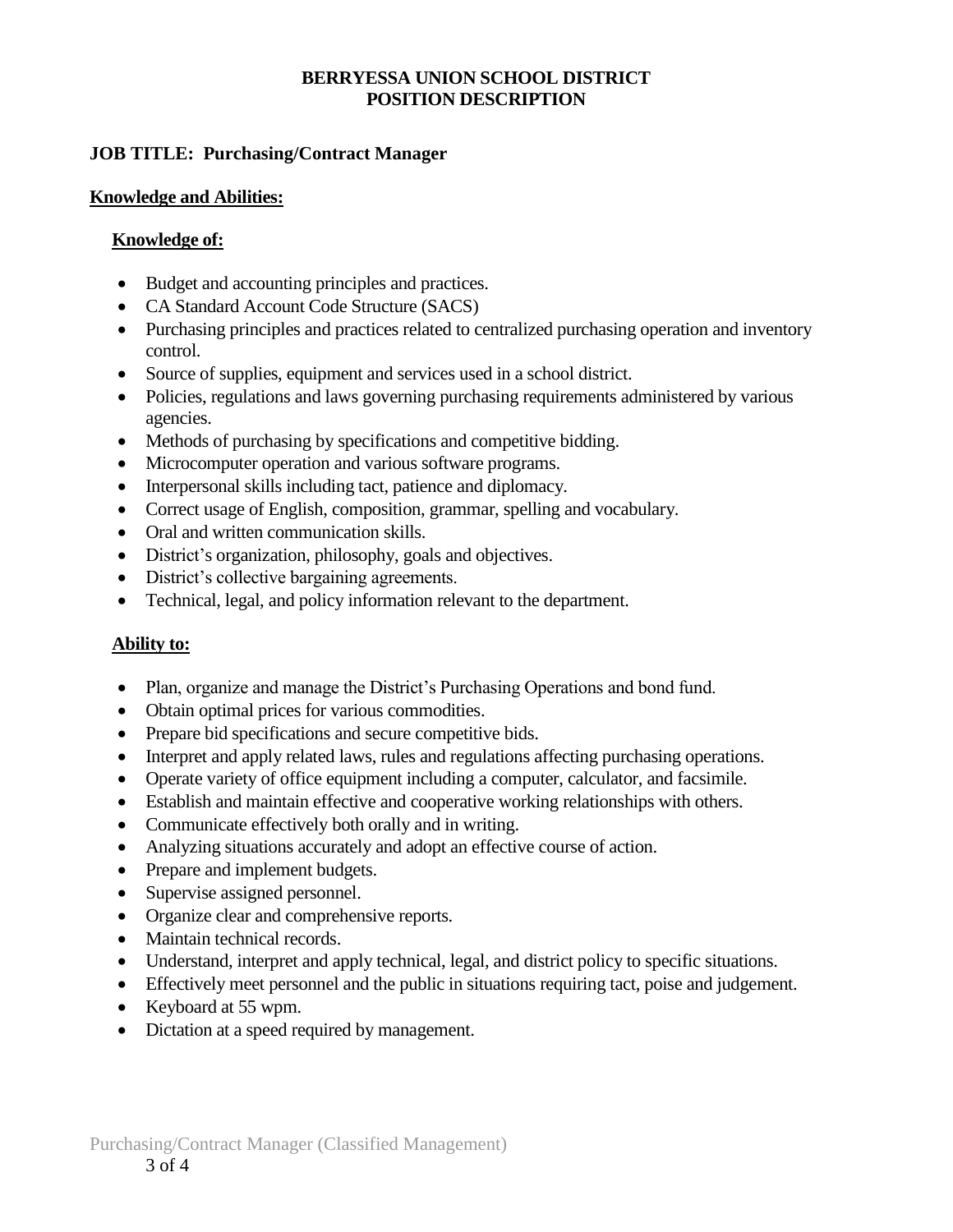# **JOB TITLE: Purchasing/Contract Manager**

#### **Knowledge and Abilities:**

### **Knowledge of:**

- Budget and accounting principles and practices.
- CA Standard Account Code Structure (SACS)
- Purchasing principles and practices related to centralized purchasing operation and inventory control.
- Source of supplies, equipment and services used in a school district.
- Policies, regulations and laws governing purchasing requirements administered by various agencies.
- Methods of purchasing by specifications and competitive bidding.
- Microcomputer operation and various software programs.
- Interpersonal skills including tact, patience and diplomacy.
- Correct usage of English, composition, grammar, spelling and vocabulary.
- Oral and written communication skills.
- District's organization, philosophy, goals and objectives.
- District's collective bargaining agreements.
- Technical, legal, and policy information relevant to the department.

## **Ability to:**

- Plan, organize and manage the District's Purchasing Operations and bond fund.
- Obtain optimal prices for various commodities.
- Prepare bid specifications and secure competitive bids.
- Interpret and apply related laws, rules and regulations affecting purchasing operations.
- Operate variety of office equipment including a computer, calculator, and facsimile.
- Establish and maintain effective and cooperative working relationships with others.
- Communicate effectively both orally and in writing.
- Analyzing situations accurately and adopt an effective course of action.
- Prepare and implement budgets.
- Supervise assigned personnel.
- Organize clear and comprehensive reports.
- Maintain technical records.
- Understand, interpret and apply technical, legal, and district policy to specific situations.
- Effectively meet personnel and the public in situations requiring tact, poise and judgement.
- Keyboard at 55 wpm.
- Dictation at a speed required by management.